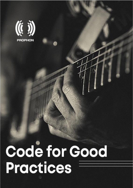

# Code for Good Practices

Code of Good Practices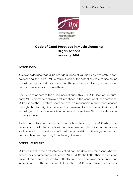

# **Code of Good Practices in Music Licensing Organisations January 2016**

## **INTRODUCTION**

It is acknowledged that MLCs provide a range of valuable services both to right holders and for users. MLCs make it easier for potential users to use sound recordings legally and they streamline the process of collecting remuneration and/or licence fees for the use thereof.

By striving to adhere to the guidelines set out in this, IFPI MLC Code of Conduct, each MLC aspires to achieve best practices in the conduct of its operations. MLCs expect that, in return, users behave in a responsible manner and respect the right holders' right to receive fair payment for the use of their sound recordings and pay remuneration and report usage to MLCs accurately and in a timely manner.

It also understood and accepted that actions taken by any MLC which are necessary in order to comply with national laws or other binding regulations shall, where such provisions conflict with any provision of these guidelines, not be considered as departing from these guidelines.

## GENERAL PRINCIPLES

MLCs shall act in the best interests of all right holders they represent, whether directly or via agreements with other MLCs. MLCs shall offer their services and conduct their operations in a fair, effective and non-discriminatory manner and in compliance with the applicable legislation. MLCs shall strive to effectively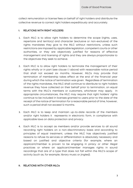collect remuneration or license fees on behalf of right holders and distribute the collective revenue to correct right holders expeditiously and accurately.

#### **I.** RELATIONS WITH RIGHT HOLDERS

- 1. Each MLC is to allow right holders to determine the scope (rights, uses, repertoire and territory) and character (exclusive or non-exclusive) of the rights mandates they give to the MLC without restrictions, unless such restrictions are imposed by applicable legislation, competent courts or other authorities, or they are objectively justified for reasons of effective management and licensing of rights and they are always proportionate to the objectives they seek to achieve.
- 2. Each MLC is to allow right holders to terminate the management of their rights wholly or in part (see clause I.1 above) with reasonable notice period that shall not exceed six months. However, MLCs may provide that termination of membership takes effect at the end of the financial year during which the notice of termination was given. Regardless of termination of the rights mandates, the MLC shall continue to distribute to right holders revenue they have collected on their behalf prior to termination, on equal terms with the MLC's members or customers, whichever may apply. In appropriate circumstances, the MLC may require that right holders' rights continue to be included in licenses granted to users prior to the date of the receipt of the notice of termination for a reasonable period of time, however, such a period shall not exceed 12 months.
- 3. Each MLC is to keep and maintain up-to-date records of the members and/or right holders it represents in electronic form, in compliance with applicable laws on data protection and privacy.
- 4. Each MLC is to accept as members and/or provide services to all sound recording right holders on a non-discriminatory basis and according to principles of equal treatment, unless the MLC has objectively justified reasons to refuse its services or differentiation is absolutely necessary and based on justified and objective criteria (for example, where an applicant/member is proven to be engaging in piracy or other illegal practices or where an applicant/member manages rights in sound recordings that are of a type that does not fall within the MLC's scope of activity (such as, for example, library music or jingles)).

#### **II.** RELATIONS WITH OTHER MLCs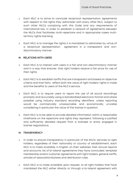- 1. Each MLC is to strive to conclude reciprocal representation agreements with respect to the rights they administer with every other MLC, subject to such other MLCs complying with this Code and any requirements of international law, in order to establish a network of agreements between the MLCs that facilitates multi-repertoire and in appropriate cases multiterritory rights licensing.
- 2. Each MLC is to manage the rights it is mandated to administer by virtue of a reciprocal representation agreement in a transparent and nondiscriminatory manner.

#### **III.** RELATIONS WITH USERS

- 1. Each MLC is to interact with users in a fair and non-discriminatory manner and in a way that ensures that right holders receive a fair price for use of their rights.
- 2. Each MLC is to establish tariffs that are transparent and based on objective criteria and that fairly reflect both the value of right holders' rights in trade and the benefits to users of the MLC's service.
- 3. Each MLC is to require users to report the use of all sound recordings promptly and accurately using a standardised electronic format and where possible using industry standard recording identifiers, unless reporting would be commercially unreasonable and economically unviable considering in particular the value of the license in question.
- 4. Each MLC is to be able to provide detailed information within a reasonable timeframe on the repertoire and rights they represent, following a justified and sufficiently detailed request from a licensee or entity engaged in license negotiations.

#### **IV.** TRANSPARENCY

- 1. In order to ensure transparency in particular of the MLCs' services to right holders, regardless of their nationality or country of establishment, each MLC is to make available, in English, on their websites: their annual reports and accounts, list of bi-lateral agreements they have concluded, template membership and/or customer agreements with right holders, general tariffs, articles of association/bylaws and distribution rules.
- 2. Each MLC is to make available upon request, to all right holders that have mandated the MLC either directly or through a bi-lateral agreement with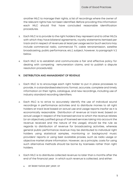another MLC to manage their rights, a list of recordings where the owner of the relevant rights has not been identified. Before providing this information each MLC should first have concluded reasonable identification procedures.

- 3. Each MLC is to provide to the right holders they represent and to other MLCs with which they have bilateral agreements, royalty statements itemised per track and in respect of revenues at least per usage sector (such sectors may include commercial radio, commercial TV, cable retransmission, satellite broadcasting, public performance, etc.), subject, however, to paragraph V.2 below.
- 4. Each MLC is to establish and communicate a fair and effective policy for dealing with competing remuneration claims, and to publish a dispute resolution procedure(s).

#### **V.** DISTRIBUTION AND MANAGEMENT OF REVENUE

- 1. Each MLC is to encourage each right holder to put in place processes to provide, in a standardised electronic format, accurate, complete and timely information on their rights, catalogue, and new recordings, including use of industry standard recording identifiers.
- 2. Each MLC is to strive to accurately identify the use of individual sound recordings in performance activities and to distribute monies to all right holders at track level based on actual use and usage reports insofar as it is economically reasonable. Distribution of revenue at track level, based on actual usage in respect of the licensed service to which the revenue relates (or an objectively justified group of licensed services taking into account the revenue received and the nature of the usage), should be the rule as regards to distribution of revenue for broadcasting activities, whereas general public performance revenue may be distributed to individual right holders using statistical samples, monitoring or background music providers' reports or using best available proxies, such as radio usage or objective market share information. However, as a principle, costs for using such alternative methods should be borne by licensees rather than right holders.
- 3. Each MLC is to distribute collected revenue no later than 6 months after the end of the financial year in which such revenue is collected, and either:
	- a. at least twice per year; or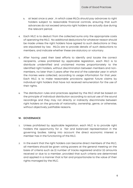- b. at least once a year , in which case MLCs should pay advances to right holders subject to reasonable financial controls, ensuring that such advances do not exceed amounts right holders are actually due during the relevant period.
- 4. Each MLC is to deduct from the collected sums only the appropriate costs of operating the MLC. No additional deductions for whatever reason should be made unless the right holders have agreed to such deductions or they are stipulated by law. MLCs are to provide details of such deductions to members, and indicate whether these are statutory or voluntary.
- 5. After having used their best efforts to identify and locate the correct recipients, unless prohibited by applicable legislation, each MLC is to distribute unidentified and unclaimed monies proportionately to the identified right holders, without discrimination between members and nonmembers, no later than 3 years after the end of the calendar year in which the monies were collected, according to usage information for that year. Each MLC is to make reasonable provisions against future claims by individual right holders that have not received remuneration for the use of their rights.
- 6. The distribution rules and practices applied by the MLC shall be based on the principle of individual distribution according to actual use of the sound recordings and they may not directly or indirectly discriminate between right holders on the grounds of nationality, ownership, genre, or otherwise, without objectively justifiable reasons.

#### **VI.** GOVERNANCE

- 1. Unless prohibited by applicable legislation, each MLC is to provide right holders the opportunity for a fair and balanced representation in the governing bodies. taking into account the direct economic interest a member has in the functioning of the MLC.
- 2. In the event that the right holders can become direct members of the MLC, all members should be given voting powers at the general meeting on the basis of criteria such as (i) number of tracks registered and/or (ii) amounts received or due to a member, provided that such criteria are determined and applied in a manner that is fair and proportionate to the value of their rights managed by the MLC.